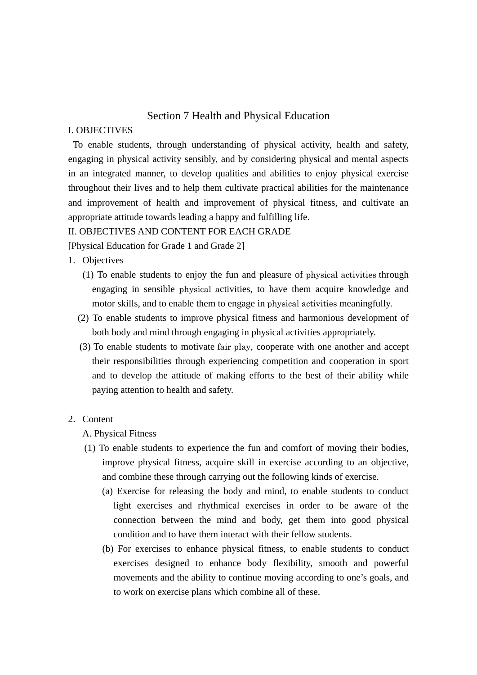# Section 7 Health and Physical Education

# I. OBJECTIVES

 To enable students, through understanding of physical activity, health and safety, engaging in physical activity sensibly, and by considering physical and mental aspects in an integrated manner, to develop qualities and abilities to enjoy physical exercise throughout their lives and to help them cultivate practical abilities for the maintenance and improvement of health and improvement of physical fitness, and cultivate an appropriate attitude towards leading a happy and fulfilling life.

#### II. OBJECTIVES AND CONTENT FOR EACH GRADE

[Physical Education for Grade 1 and Grade 2]

- 1. Objectives
	- (1) To enable students to enjoy the fun and pleasure of physical activities through engaging in sensible physical activities, to have them acquire knowledge and motor skills, and to enable them to engage in physical activities meaningfully.
	- (2) To enable students to improve physical fitness and harmonious development of both body and mind through engaging in physical activities appropriately.
	- (3) To enable students to motivate fair play, cooperate with one another and accept their responsibilities through experiencing competition and cooperation in sport and to develop the attitude of making efforts to the best of their ability while paying attention to health and safety.

### 2. Content

A. Physical Fitness

- (1) To enable students to experience the fun and comfort of moving their bodies, improve physical fitness, acquire skill in exercise according to an objective, and combine these through carrying out the following kinds of exercise.
	- (a) Exercise for releasing the body and mind, to enable students to conduct light exercises and rhythmical exercises in order to be aware of the connection between the mind and body, get them into good physical condition and to have them interact with their fellow students.
	- (b) For exercises to enhance physical fitness, to enable students to conduct exercises designed to enhance body flexibility, smooth and powerful movements and the ability to continue moving according to one's goals, and to work on exercise plans which combine all of these.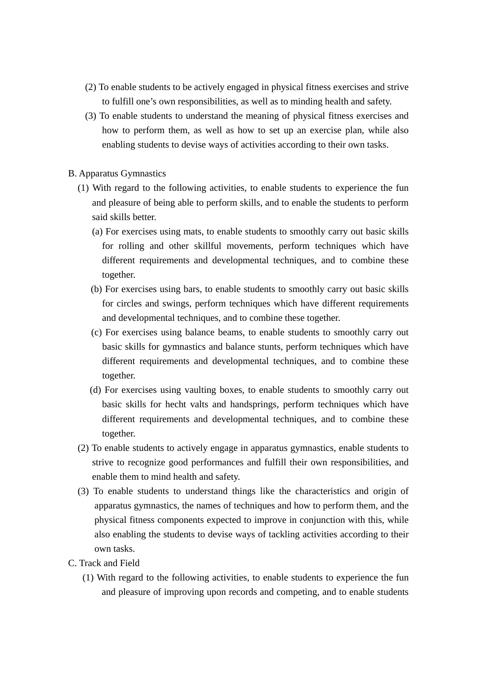- (2) To enable students to be actively engaged in physical fitness exercises and strive to fulfill one's own responsibilities, as well as to minding health and safety.
- (3) To enable students to understand the meaning of physical fitness exercises and how to perform them, as well as how to set up an exercise plan, while also enabling students to devise ways of activities according to their own tasks.

### B. Apparatus Gymnastics

- (1) With regard to the following activities, to enable students to experience the fun and pleasure of being able to perform skills, and to enable the students to perform said skills better.
	- (a) For exercises using mats, to enable students to smoothly carry out basic skills for rolling and other skillful movements, perform techniques which have different requirements and developmental techniques, and to combine these together.
	- (b) For exercises using bars, to enable students to smoothly carry out basic skills for circles and swings, perform techniques which have different requirements and developmental techniques, and to combine these together.
	- (c) For exercises using balance beams, to enable students to smoothly carry out basic skills for gymnastics and balance stunts, perform techniques which have different requirements and developmental techniques, and to combine these together.
	- (d) For exercises using vaulting boxes, to enable students to smoothly carry out basic skills for hecht valts and handsprings, perform techniques which have different requirements and developmental techniques, and to combine these together.
- (2) To enable students to actively engage in apparatus gymnastics, enable students to strive to recognize good performances and fulfill their own responsibilities, and enable them to mind health and safety.
- (3) To enable students to understand things like the characteristics and origin of apparatus gymnastics, the names of techniques and how to perform them, and the physical fitness components expected to improve in conjunction with this, while also enabling the students to devise ways of tackling activities according to their own tasks.
- C. Track and Field
	- (1) With regard to the following activities, to enable students to experience the fun and pleasure of improving upon records and competing, and to enable students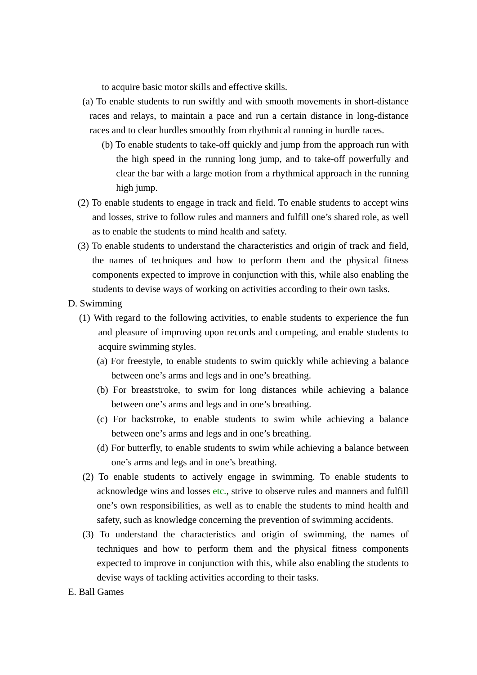to acquire basic motor skills and effective skills.

- (a) To enable students to run swiftly and with smooth movements in short-distance races and relays, to maintain a pace and run a certain distance in long-distance races and to clear hurdles smoothly from rhythmical running in hurdle races.
	- (b) To enable students to take-off quickly and jump from the approach run with the high speed in the running long jump, and to take-off powerfully and clear the bar with a large motion from a rhythmical approach in the running high jump.
- (2) To enable students to engage in track and field. To enable students to accept wins and losses, strive to follow rules and manners and fulfill one's shared role, as well as to enable the students to mind health and safety.
- (3) To enable students to understand the characteristics and origin of track and field, the names of techniques and how to perform them and the physical fitness components expected to improve in conjunction with this, while also enabling the students to devise ways of working on activities according to their own tasks.

D. Swimming

- (1) With regard to the following activities, to enable students to experience the fun and pleasure of improving upon records and competing, and enable students to acquire swimming styles.
	- (a) For freestyle, to enable students to swim quickly while achieving a balance between one's arms and legs and in one's breathing.
	- (b) For breaststroke, to swim for long distances while achieving a balance between one's arms and legs and in one's breathing.
	- (c) For backstroke, to enable students to swim while achieving a balance between one's arms and legs and in one's breathing.
	- (d) For butterfly, to enable students to swim while achieving a balance between one's arms and legs and in one's breathing.
- (2) To enable students to actively engage in swimming. To enable students to acknowledge wins and losses etc., strive to observe rules and manners and fulfill one's own responsibilities, as well as to enable the students to mind health and safety, such as knowledge concerning the prevention of swimming accidents.
- (3) To understand the characteristics and origin of swimming, the names of techniques and how to perform them and the physical fitness components expected to improve in conjunction with this, while also enabling the students to devise ways of tackling activities according to their tasks.
- E. Ball Games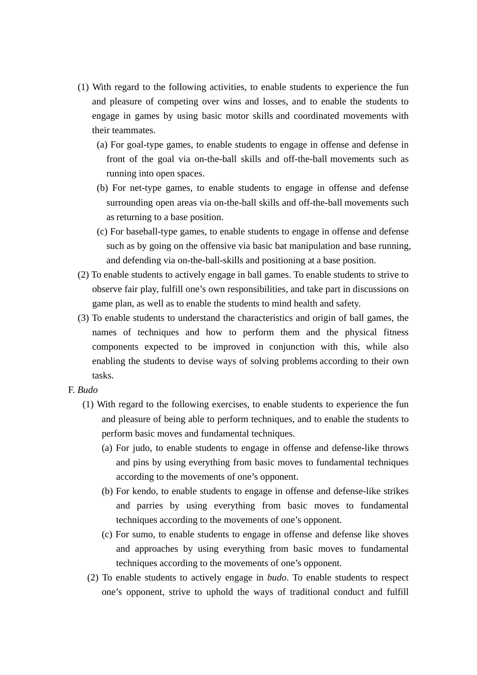- (1) With regard to the following activities, to enable students to experience the fun and pleasure of competing over wins and losses, and to enable the students to engage in games by using basic motor skills and coordinated movements with their teammates.
	- (a) For goal-type games, to enable students to engage in offense and defense in front of the goal via on-the-ball skills and off-the-ball movements such as running into open spaces.
	- (b) For net-type games, to enable students to engage in offense and defense surrounding open areas via on-the-ball skills and off-the-ball movements such as returning to a base position.
	- (c) For baseball-type games, to enable students to engage in offense and defense such as by going on the offensive via basic bat manipulation and base running, and defending via on-the-ball-skills and positioning at a base position.
- (2) To enable students to actively engage in ball games. To enable students to strive to observe fair play, fulfill one's own responsibilities, and take part in discussions on game plan, as well as to enable the students to mind health and safety.
- (3) To enable students to understand the characteristics and origin of ball games, the names of techniques and how to perform them and the physical fitness components expected to be improved in conjunction with this, while also enabling the students to devise ways of solving problems according to their own tasks.
- F. *Budo*
	- (1) With regard to the following exercises, to enable students to experience the fun and pleasure of being able to perform techniques, and to enable the students to perform basic moves and fundamental techniques.
		- (a) For judo, to enable students to engage in offense and defense-like throws and pins by using everything from basic moves to fundamental techniques according to the movements of one's opponent.
		- (b) For kendo, to enable students to engage in offense and defense-like strikes and parries by using everything from basic moves to fundamental techniques according to the movements of one's opponent.
		- (c) For sumo, to enable students to engage in offense and defense like shoves and approaches by using everything from basic moves to fundamental techniques according to the movements of one's opponent.
	- (2) To enable students to actively engage in *budo*. To enable students to respect one's opponent, strive to uphold the ways of traditional conduct and fulfill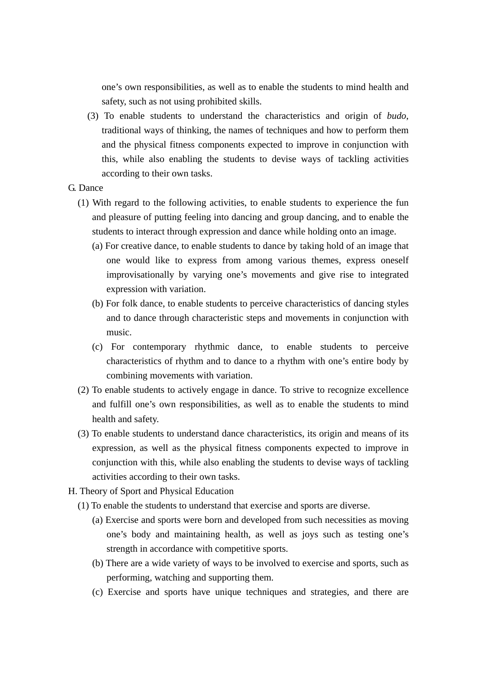one's own responsibilities, as well as to enable the students to mind health and safety, such as not using prohibited skills.

- (3) To enable students to understand the characteristics and origin of *budo*, traditional ways of thinking, the names of techniques and how to perform them and the physical fitness components expected to improve in conjunction with this, while also enabling the students to devise ways of tackling activities according to their own tasks.
- G. Dance
	- (1) With regard to the following activities, to enable students to experience the fun and pleasure of putting feeling into dancing and group dancing, and to enable the students to interact through expression and dance while holding onto an image.
		- (a) For creative dance, to enable students to dance by taking hold of an image that one would like to express from among various themes, express oneself improvisationally by varying one's movements and give rise to integrated expression with variation.
		- (b) For folk dance, to enable students to perceive characteristics of dancing styles and to dance through characteristic steps and movements in conjunction with music.
		- (c) For contemporary rhythmic dance, to enable students to perceive characteristics of rhythm and to dance to a rhythm with one's entire body by combining movements with variation.
	- (2) To enable students to actively engage in dance. To strive to recognize excellence and fulfill one's own responsibilities, as well as to enable the students to mind health and safety.
	- (3) To enable students to understand dance characteristics, its origin and means of its expression, as well as the physical fitness components expected to improve in conjunction with this, while also enabling the students to devise ways of tackling activities according to their own tasks.
- H. Theory of Sport and Physical Education
	- (1) To enable the students to understand that exercise and sports are diverse.
		- (a) Exercise and sports were born and developed from such necessities as moving one's body and maintaining health, as well as joys such as testing one's strength in accordance with competitive sports.
		- (b) There are a wide variety of ways to be involved to exercise and sports, such as performing, watching and supporting them.
		- (c) Exercise and sports have unique techniques and strategies, and there are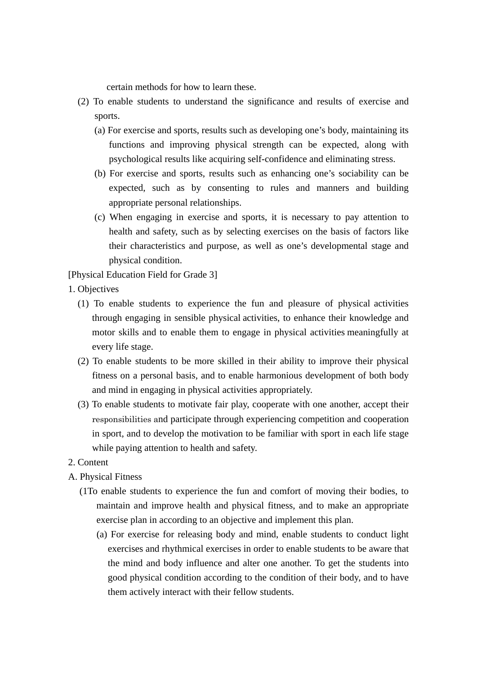certain methods for how to learn these.

- (2) To enable students to understand the significance and results of exercise and sports.
	- (a) For exercise and sports, results such as developing one's body, maintaining its functions and improving physical strength can be expected, along with psychological results like acquiring self-confidence and eliminating stress.
	- (b) For exercise and sports, results such as enhancing one's sociability can be expected, such as by consenting to rules and manners and building appropriate personal relationships.
	- (c) When engaging in exercise and sports, it is necessary to pay attention to health and safety, such as by selecting exercises on the basis of factors like their characteristics and purpose, as well as one's developmental stage and physical condition.

[Physical Education Field for Grade 3]

- 1. Objectives
	- (1) To enable students to experience the fun and pleasure of physical activities through engaging in sensible physical activities, to enhance their knowledge and motor skills and to enable them to engage in physical activities meaningfully at every life stage.
	- (2) To enable students to be more skilled in their ability to improve their physical fitness on a personal basis, and to enable harmonious development of both body and mind in engaging in physical activities appropriately.
	- (3) To enable students to motivate fair play, cooperate with one another, accept their responsibilities and participate through experiencing competition and cooperation in sport, and to develop the motivation to be familiar with sport in each life stage while paying attention to health and safety.
- 2. Content
- A. Physical Fitness
	- (1To enable students to experience the fun and comfort of moving their bodies, to maintain and improve health and physical fitness, and to make an appropriate exercise plan in according to an objective and implement this plan.
		- (a) For exercise for releasing body and mind, enable students to conduct light exercises and rhythmical exercises in order to enable students to be aware that the mind and body influence and alter one another. To get the students into good physical condition according to the condition of their body, and to have them actively interact with their fellow students.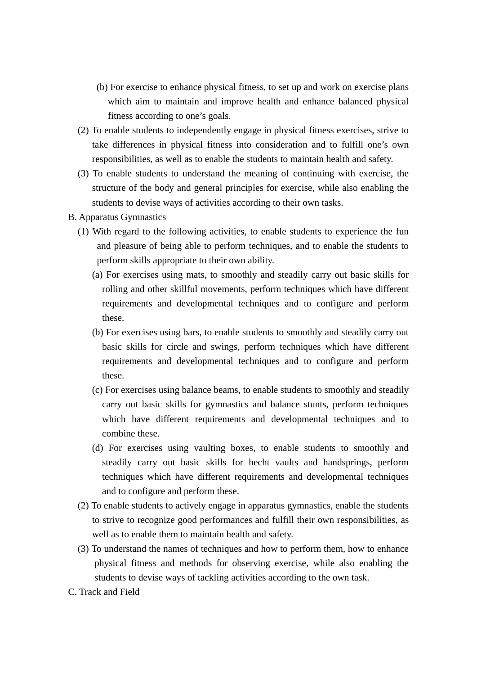- (b) For exercise to enhance physical fitness, to set up and work on exercise plans which aim to maintain and improve health and enhance balanced physical fitness according to one's goals.
- (2) To enable students to independently engage in physical fitness exercises, strive to take differences in physical fitness into consideration and to fulfill one's own responsibilities, as well as to enable the students to maintain health and safety.
- (3) To enable students to understand the meaning of continuing with exercise, the structure of the body and general principles for exercise, while also enabling the students to devise ways of activities according to their own tasks.
- B. Apparatus Gymnastics
	- (1) With regard to the following activities, to enable students to experience the fun and pleasure of being able to perform techniques, and to enable the students to perform skills appropriate to their own ability.
		- (a) For exercises using mats, to smoothly and steadily carry out basic skills for rolling and other skillful movements, perform techniques which have different requirements and developmental techniques and to configure and perform these.
		- (b) For exercises using bars, to enable students to smoothly and steadily carry out basic skills for circle and swings, perform techniques which have different requirements and developmental techniques and to configure and perform these.
		- (c) For exercises using balance beams, to enable students to smoothly and steadily carry out basic skills for gymnastics and balance stunts, perform techniques which have different requirements and developmental techniques and to combine these.
		- (d) For exercises using vaulting boxes, to enable students to smoothly and steadily carry out basic skills for hecht vaults and handsprings, perform techniques which have different requirements and developmental techniques and to configure and perform these.
	- (2) To enable students to actively engage in apparatus gymnastics, enable the students to strive to recognize good performances and fulfill their own responsibilities, as well as to enable them to maintain health and safety.
	- (3) To understand the names of techniques and how to perform them, how to enhance physical fitness and methods for observing exercise, while also enabling the students to devise ways of tackling activities according to the own task.
- C. Track and Field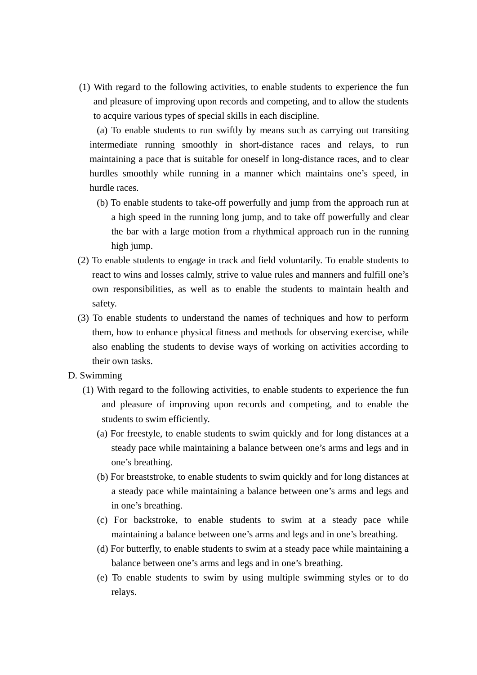(1) With regard to the following activities, to enable students to experience the fun and pleasure of improving upon records and competing, and to allow the students to acquire various types of special skills in each discipline.

 (a) To enable students to run swiftly by means such as carrying out transiting intermediate running smoothly in short-distance races and relays, to run maintaining a pace that is suitable for oneself in long-distance races, and to clear hurdles smoothly while running in a manner which maintains one's speed, in hurdle races.

- (b) To enable students to take-off powerfully and jump from the approach run at a high speed in the running long jump, and to take off powerfully and clear the bar with a large motion from a rhythmical approach run in the running high jump.
- (2) To enable students to engage in track and field voluntarily. To enable students to react to wins and losses calmly, strive to value rules and manners and fulfill one's own responsibilities, as well as to enable the students to maintain health and safety.
- (3) To enable students to understand the names of techniques and how to perform them, how to enhance physical fitness and methods for observing exercise, while also enabling the students to devise ways of working on activities according to their own tasks.

#### D. Swimming

- (1) With regard to the following activities, to enable students to experience the fun and pleasure of improving upon records and competing, and to enable the students to swim efficiently.
	- (a) For freestyle, to enable students to swim quickly and for long distances at a steady pace while maintaining a balance between one's arms and legs and in one's breathing.
	- (b) For breaststroke, to enable students to swim quickly and for long distances at a steady pace while maintaining a balance between one's arms and legs and in one's breathing.
	- (c) For backstroke, to enable students to swim at a steady pace while maintaining a balance between one's arms and legs and in one's breathing.
	- (d) For butterfly, to enable students to swim at a steady pace while maintaining a balance between one's arms and legs and in one's breathing.
	- (e) To enable students to swim by using multiple swimming styles or to do relays.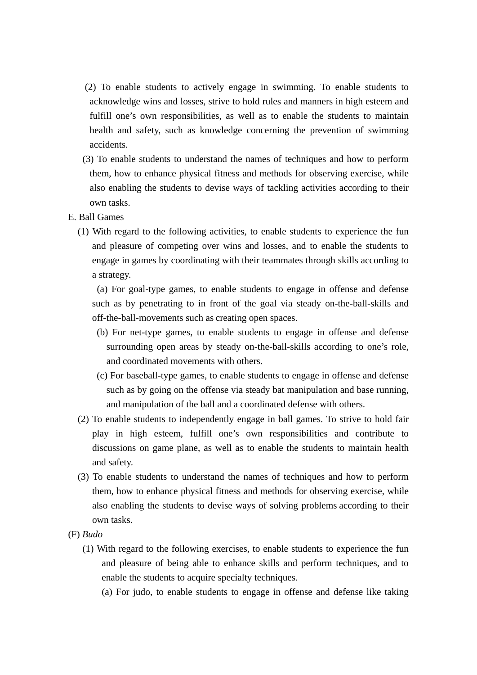- (2) To enable students to actively engage in swimming. To enable students to acknowledge wins and losses, strive to hold rules and manners in high esteem and fulfill one's own responsibilities, as well as to enable the students to maintain health and safety, such as knowledge concerning the prevention of swimming accidents.
- (3) To enable students to understand the names of techniques and how to perform them, how to enhance physical fitness and methods for observing exercise, while also enabling the students to devise ways of tackling activities according to their own tasks.
- E. Ball Games
	- (1) With regard to the following activities, to enable students to experience the fun and pleasure of competing over wins and losses, and to enable the students to engage in games by coordinating with their teammates through skills according to a strategy.

 (a) For goal-type games, to enable students to engage in offense and defense such as by penetrating to in front of the goal via steady on-the-ball-skills and off-the-ball-movements such as creating open spaces.

- (b) For net-type games, to enable students to engage in offense and defense surrounding open areas by steady on-the-ball-skills according to one's role, and coordinated movements with others.
- (c) For baseball-type games, to enable students to engage in offense and defense such as by going on the offense via steady bat manipulation and base running, and manipulation of the ball and a coordinated defense with others.
- (2) To enable students to independently engage in ball games. To strive to hold fair play in high esteem, fulfill one's own responsibilities and contribute to discussions on game plane, as well as to enable the students to maintain health and safety.
- (3) To enable students to understand the names of techniques and how to perform them, how to enhance physical fitness and methods for observing exercise, while also enabling the students to devise ways of solving problems according to their own tasks.
- (F) *Budo*
	- (1) With regard to the following exercises, to enable students to experience the fun and pleasure of being able to enhance skills and perform techniques, and to enable the students to acquire specialty techniques.
		- (a) For judo, to enable students to engage in offense and defense like taking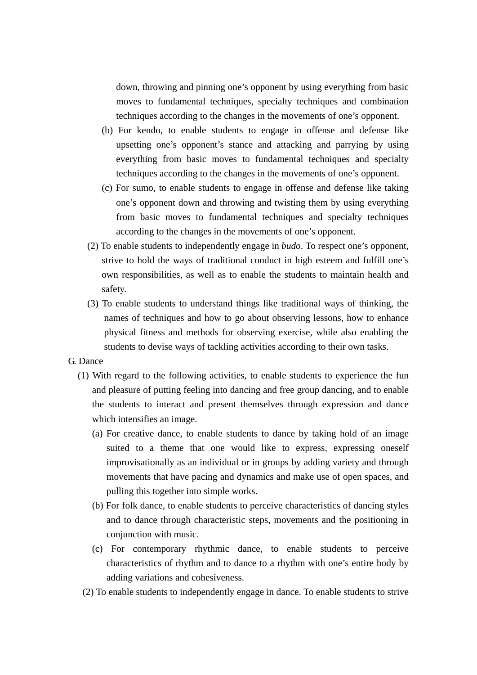down, throwing and pinning one's opponent by using everything from basic moves to fundamental techniques, specialty techniques and combination techniques according to the changes in the movements of one's opponent.

- (b) For kendo, to enable students to engage in offense and defense like upsetting one's opponent's stance and attacking and parrying by using everything from basic moves to fundamental techniques and specialty techniques according to the changes in the movements of one's opponent.
- (c) For sumo, to enable students to engage in offense and defense like taking one's opponent down and throwing and twisting them by using everything from basic moves to fundamental techniques and specialty techniques according to the changes in the movements of one's opponent.
- (2) To enable students to independently engage in *budo*. To respect one's opponent, strive to hold the ways of traditional conduct in high esteem and fulfill one's own responsibilities, as well as to enable the students to maintain health and safety.
- (3) To enable students to understand things like traditional ways of thinking, the names of techniques and how to go about observing lessons, how to enhance physical fitness and methods for observing exercise, while also enabling the students to devise ways of tackling activities according to their own tasks.

#### G. Dance

- (1) With regard to the following activities, to enable students to experience the fun and pleasure of putting feeling into dancing and free group dancing, and to enable the students to interact and present themselves through expression and dance which intensifies an image.
	- (a) For creative dance, to enable students to dance by taking hold of an image suited to a theme that one would like to express, expressing oneself improvisationally as an individual or in groups by adding variety and through movements that have pacing and dynamics and make use of open spaces, and pulling this together into simple works.
	- (b) For folk dance, to enable students to perceive characteristics of dancing styles and to dance through characteristic steps, movements and the positioning in conjunction with music.
	- (c) For contemporary rhythmic dance, to enable students to perceive characteristics of rhythm and to dance to a rhythm with one's entire body by adding variations and cohesiveness.
- (2) To enable students to independently engage in dance. To enable students to strive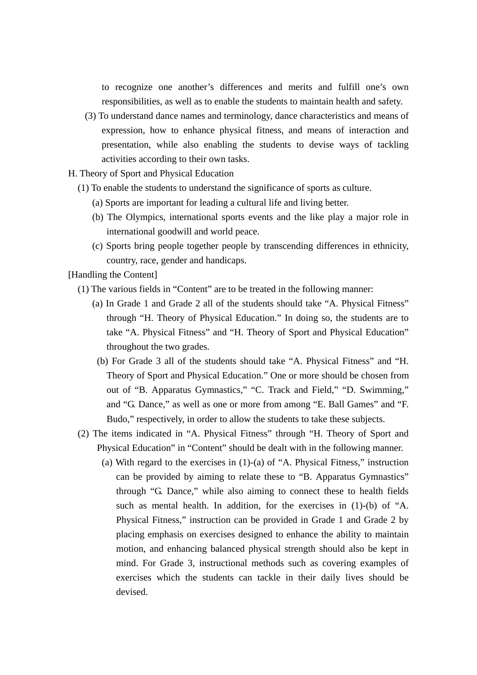to recognize one another's differences and merits and fulfill one's own responsibilities, as well as to enable the students to maintain health and safety.

 (3) To understand dance names and terminology, dance characteristics and means of expression, how to enhance physical fitness, and means of interaction and presentation, while also enabling the students to devise ways of tackling activities according to their own tasks.

H. Theory of Sport and Physical Education

- (1) To enable the students to understand the significance of sports as culture.
	- (a) Sports are important for leading a cultural life and living better.
	- (b) The Olympics, international sports events and the like play a major role in international goodwill and world peace.
	- (c) Sports bring people together people by transcending differences in ethnicity, country, race, gender and handicaps.

[Handling the Content]

- (1) The various fields in "Content" are to be treated in the following manner:
	- (a) In Grade 1 and Grade 2 all of the students should take "A. Physical Fitness" through "H. Theory of Physical Education." In doing so, the students are to take "A. Physical Fitness" and "H. Theory of Sport and Physical Education" throughout the two grades.
	- (b) For Grade 3 all of the students should take "A. Physical Fitness" and "H. Theory of Sport and Physical Education." One or more should be chosen from out of "B. Apparatus Gymnastics," "C. Track and Field," "D. Swimming," and "G. Dance," as well as one or more from among "E. Ball Games" and "F. Budo," respectively, in order to allow the students to take these subjects.
- (2) The items indicated in "A. Physical Fitness" through "H. Theory of Sport and Physical Education" in "Content" should be dealt with in the following manner.
	- (a) With regard to the exercises in (1)-(a) of "A. Physical Fitness," instruction can be provided by aiming to relate these to "B. Apparatus Gymnastics" through "G. Dance," while also aiming to connect these to health fields such as mental health. In addition, for the exercises in (1)-(b) of "A. Physical Fitness," instruction can be provided in Grade 1 and Grade 2 by placing emphasis on exercises designed to enhance the ability to maintain motion, and enhancing balanced physical strength should also be kept in mind. For Grade 3, instructional methods such as covering examples of exercises which the students can tackle in their daily lives should be devised.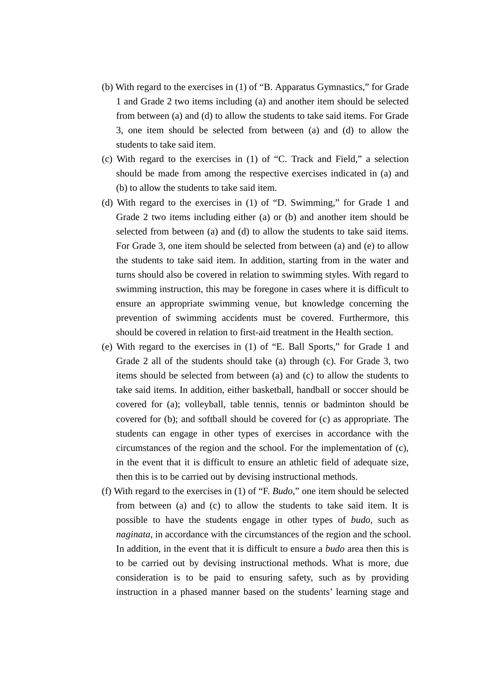- (b) With regard to the exercises in (1) of "B. Apparatus Gymnastics," for Grade 1 and Grade 2 two items including (a) and another item should be selected from between (a) and (d) to allow the students to take said items. For Grade 3, one item should be selected from between (a) and (d) to allow the students to take said item.
- (c) With regard to the exercises in (1) of "C. Track and Field," a selection should be made from among the respective exercises indicated in (a) and (b) to allow the students to take said item.
- (d) With regard to the exercises in (1) of "D. Swimming," for Grade 1 and Grade 2 two items including either (a) or (b) and another item should be selected from between (a) and (d) to allow the students to take said items. For Grade 3, one item should be selected from between (a) and (e) to allow the students to take said item. In addition, starting from in the water and turns should also be covered in relation to swimming styles. With regard to swimming instruction, this may be foregone in cases where it is difficult to ensure an appropriate swimming venue, but knowledge concerning the prevention of swimming accidents must be covered. Furthermore, this should be covered in relation to first-aid treatment in the Health section.
- (e) With regard to the exercises in (1) of "E. Ball Sports," for Grade 1 and Grade 2 all of the students should take (a) through (c). For Grade 3, two items should be selected from between (a) and (c) to allow the students to take said items. In addition, either basketball, handball or soccer should be covered for (a); volleyball, table tennis, tennis or badminton should be covered for (b); and softball should be covered for (c) as appropriate. The students can engage in other types of exercises in accordance with the circumstances of the region and the school. For the implementation of (c), in the event that it is difficult to ensure an athletic field of adequate size, then this is to be carried out by devising instructional methods.
- (f) With regard to the exercises in (1) of "F. *Budo*," one item should be selected from between (a) and (c) to allow the students to take said item. It is possible to have the students engage in other types of *budo*, such as *naginata*, in accordance with the circumstances of the region and the school. In addition, in the event that it is difficult to ensure a *budo* area then this is to be carried out by devising instructional methods. What is more, due consideration is to be paid to ensuring safety, such as by providing instruction in a phased manner based on the students' learning stage and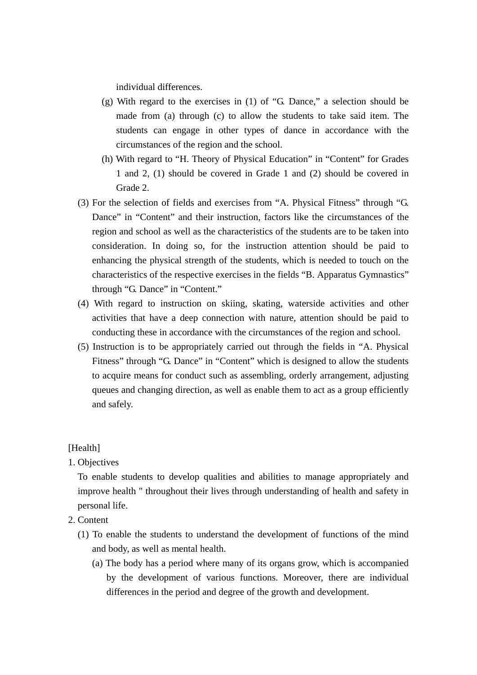individual differences.

- (g) With regard to the exercises in (1) of "G. Dance," a selection should be made from (a) through (c) to allow the students to take said item. The students can engage in other types of dance in accordance with the circumstances of the region and the school.
- (h) With regard to "H. Theory of Physical Education" in "Content" for Grades 1 and 2, (1) should be covered in Grade 1 and (2) should be covered in Grade 2.
- (3) For the selection of fields and exercises from "A. Physical Fitness" through "G. Dance" in "Content" and their instruction, factors like the circumstances of the region and school as well as the characteristics of the students are to be taken into consideration. In doing so, for the instruction attention should be paid to enhancing the physical strength of the students, which is needed to touch on the characteristics of the respective exercises in the fields "B. Apparatus Gymnastics" through "G. Dance" in "Content."
- (4) With regard to instruction on skiing, skating, waterside activities and other activities that have a deep connection with nature, attention should be paid to conducting these in accordance with the circumstances of the region and school.
- (5) Instruction is to be appropriately carried out through the fields in "A. Physical Fitness" through "G. Dance" in "Content" which is designed to allow the students to acquire means for conduct such as assembling, orderly arrangement, adjusting queues and changing direction, as well as enable them to act as a group efficiently and safely.

[Health]

# 1. Objectives

To enable students to develop qualities and abilities to manage appropriately and improve health " throughout their lives through understanding of health and safety in personal life.

- 2. Content
	- (1) To enable the students to understand the development of functions of the mind and body, as well as mental health.
		- (a) The body has a period where many of its organs grow, which is accompanied by the development of various functions. Moreover, there are individual differences in the period and degree of the growth and development.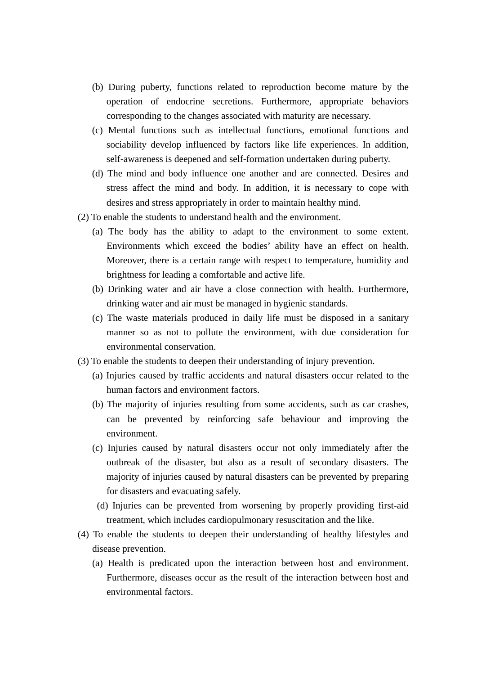- (b) During puberty, functions related to reproduction become mature by the operation of endocrine secretions. Furthermore, appropriate behaviors corresponding to the changes associated with maturity are necessary.
- (c) Mental functions such as intellectual functions, emotional functions and sociability develop influenced by factors like life experiences. In addition, self-awareness is deepened and self-formation undertaken during puberty.
- (d) The mind and body influence one another and are connected. Desires and stress affect the mind and body. In addition, it is necessary to cope with desires and stress appropriately in order to maintain healthy mind.
- (2) To enable the students to understand health and the environment.
	- (a) The body has the ability to adapt to the environment to some extent. Environments which exceed the bodies' ability have an effect on health. Moreover, there is a certain range with respect to temperature, humidity and brightness for leading a comfortable and active life.
	- (b) Drinking water and air have a close connection with health. Furthermore, drinking water and air must be managed in hygienic standards.
	- (c) The waste materials produced in daily life must be disposed in a sanitary manner so as not to pollute the environment, with due consideration for environmental conservation.
- (3) To enable the students to deepen their understanding of injury prevention.
	- (a) Injuries caused by traffic accidents and natural disasters occur related to the human factors and environment factors.
	- (b) The majority of injuries resulting from some accidents, such as car crashes, can be prevented by reinforcing safe behaviour and improving the environment.
	- (c) Injuries caused by natural disasters occur not only immediately after the outbreak of the disaster, but also as a result of secondary disasters. The majority of injuries caused by natural disasters can be prevented by preparing for disasters and evacuating safely.
	- (d) Injuries can be prevented from worsening by properly providing first-aid treatment, which includes cardiopulmonary resuscitation and the like.
- (4) To enable the students to deepen their understanding of healthy lifestyles and disease prevention.
	- (a) Health is predicated upon the interaction between host and environment. Furthermore, diseases occur as the result of the interaction between host and environmental factors.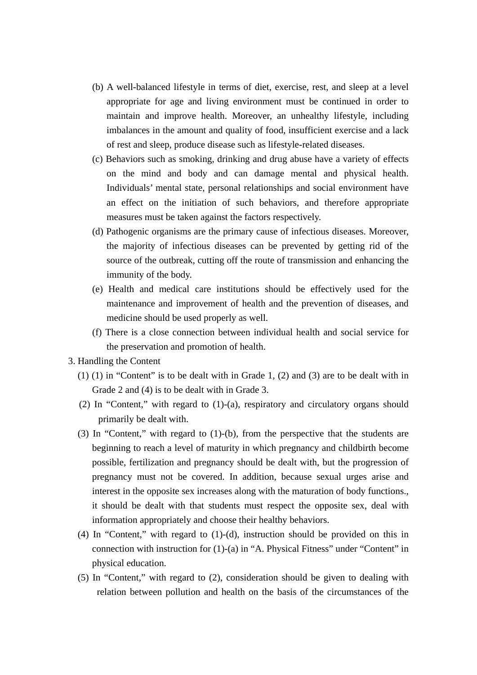- (b) A well-balanced lifestyle in terms of diet, exercise, rest, and sleep at a level appropriate for age and living environment must be continued in order to maintain and improve health. Moreover, an unhealthy lifestyle, including imbalances in the amount and quality of food, insufficient exercise and a lack of rest and sleep, produce disease such as lifestyle-related diseases.
- (c) Behaviors such as smoking, drinking and drug abuse have a variety of effects on the mind and body and can damage mental and physical health. Individuals' mental state, personal relationships and social environment have an effect on the initiation of such behaviors, and therefore appropriate measures must be taken against the factors respectively.
- (d) Pathogenic organisms are the primary cause of infectious diseases. Moreover, the majority of infectious diseases can be prevented by getting rid of the source of the outbreak, cutting off the route of transmission and enhancing the immunity of the body.
- (e) Health and medical care institutions should be effectively used for the maintenance and improvement of health and the prevention of diseases, and medicine should be used properly as well.
- (f) There is a close connection between individual health and social service for the preservation and promotion of health.
- 3. Handling the Content
	- (1) (1) in "Content" is to be dealt with in Grade 1, (2) and (3) are to be dealt with in Grade 2 and (4) is to be dealt with in Grade 3.
	- (2) In "Content," with regard to (1)-(a), respiratory and circulatory organs should primarily be dealt with.
	- (3) In "Content," with regard to (1)-(b), from the perspective that the students are beginning to reach a level of maturity in which pregnancy and childbirth become possible, fertilization and pregnancy should be dealt with, but the progression of pregnancy must not be covered. In addition, because sexual urges arise and interest in the opposite sex increases along with the maturation of body functions., it should be dealt with that students must respect the opposite sex, deal with information appropriately and choose their healthy behaviors.
	- (4) In "Content," with regard to (1)-(d), instruction should be provided on this in connection with instruction for (1)-(a) in "A. Physical Fitness" under "Content" in physical education.
	- (5) In "Content," with regard to (2), consideration should be given to dealing with relation between pollution and health on the basis of the circumstances of the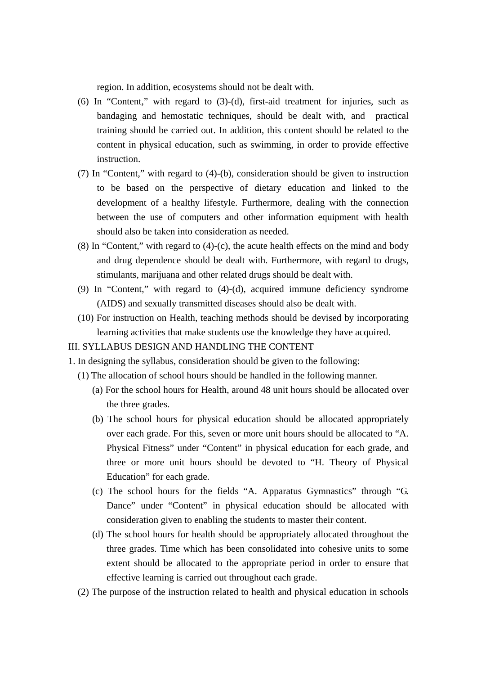region. In addition, ecosystems should not be dealt with.

- (6) In "Content," with regard to (3)-(d), first-aid treatment for injuries, such as bandaging and hemostatic techniques, should be dealt with, and practical training should be carried out. In addition, this content should be related to the content in physical education, such as swimming, in order to provide effective instruction.
- (7) In "Content," with regard to (4)-(b), consideration should be given to instruction to be based on the perspective of dietary education and linked to the development of a healthy lifestyle. Furthermore, dealing with the connection between the use of computers and other information equipment with health should also be taken into consideration as needed.
- (8) In "Content," with regard to (4)-(c), the acute health effects on the mind and body and drug dependence should be dealt with. Furthermore, with regard to drugs, stimulants, marijuana and other related drugs should be dealt with.
- (9) In "Content," with regard to (4)-(d), acquired immune deficiency syndrome (AIDS) and sexually transmitted diseases should also be dealt with.
- (10) For instruction on Health, teaching methods should be devised by incorporating learning activities that make students use the knowledge they have acquired.

### III. SYLLABUS DESIGN AND HANDLING THE CONTENT

- 1. In designing the syllabus, consideration should be given to the following:
	- (1) The allocation of school hours should be handled in the following manner.
		- (a) For the school hours for Health, around 48 unit hours should be allocated over the three grades.
		- (b) The school hours for physical education should be allocated appropriately over each grade. For this, seven or more unit hours should be allocated to "A. Physical Fitness" under "Content" in physical education for each grade, and three or more unit hours should be devoted to "H. Theory of Physical Education" for each grade.
		- (c) The school hours for the fields "A. Apparatus Gymnastics" through "G. Dance" under "Content" in physical education should be allocated with consideration given to enabling the students to master their content.
		- (d) The school hours for health should be appropriately allocated throughout the three grades. Time which has been consolidated into cohesive units to some extent should be allocated to the appropriate period in order to ensure that effective learning is carried out throughout each grade.
	- (2) The purpose of the instruction related to health and physical education in schools